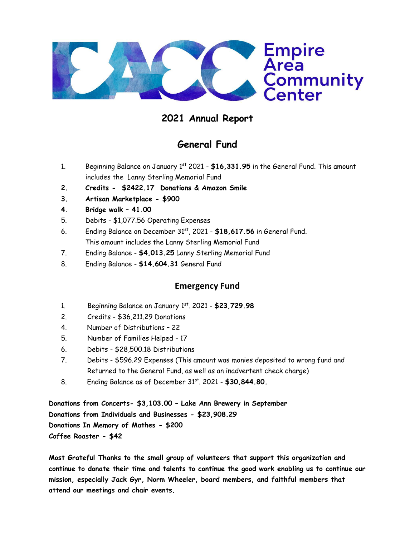

## **2021 Annual Report**

## **General Fund**

- 1. Beginning Balance on January 1st 2021 **\$16,331.95** in the General Fund. This amount includes the Lanny Sterling Memorial Fund
- **2. Credits \$2422.17 Donations & Amazon Smile**
- **3. Artisan Marketplace - \$900**
- **4. Bridge walk – 41.00**
- 5. Debits \$1,077.56 Operating Expenses
- 6. Ending Balance on December 31st, 2021 **\$18,617.56** in General Fund. This amount includes the Lanny Sterling Memorial Fund
- 7. Ending Balance **\$4,013.25** Lanny Sterling Memorial Fund
- 8. Ending Balance **\$14,604.31** General Fund

## **Emergency Fund**

- 1. Beginning Balance on January 1st . 2021 **\$23,729.98**
- 2. Credits \$36,211.29 Donations
- 4. Number of Distributions 22
- 5. Number of Families Helped 17
- 6. Debits \$28,500.18 Distributions
- 7. Debits \$596.29 Expenses (This amount was monies deposited to wrong fund and Returned to the General Fund, as well as an inadvertent check charge)
- 8. Ending Balance as of December 31<sup>st</sup>. 2021 \$30,844.80.

**Donations from Concerts- \$3,103.00 – Lake Ann Brewery in September Donations from Individuals and Businesses - \$23,908.29 Donations In Memory of Mathes - \$200 Coffee Roaster - \$42**

**Most Grateful Thanks to the small group of volunteers that support this organization and continue to donate their time and talents to continue the good work enabling us to continue our mission, especially Jack Gyr, Norm Wheeler, board members, and faithful members that attend our meetings and chair events.**